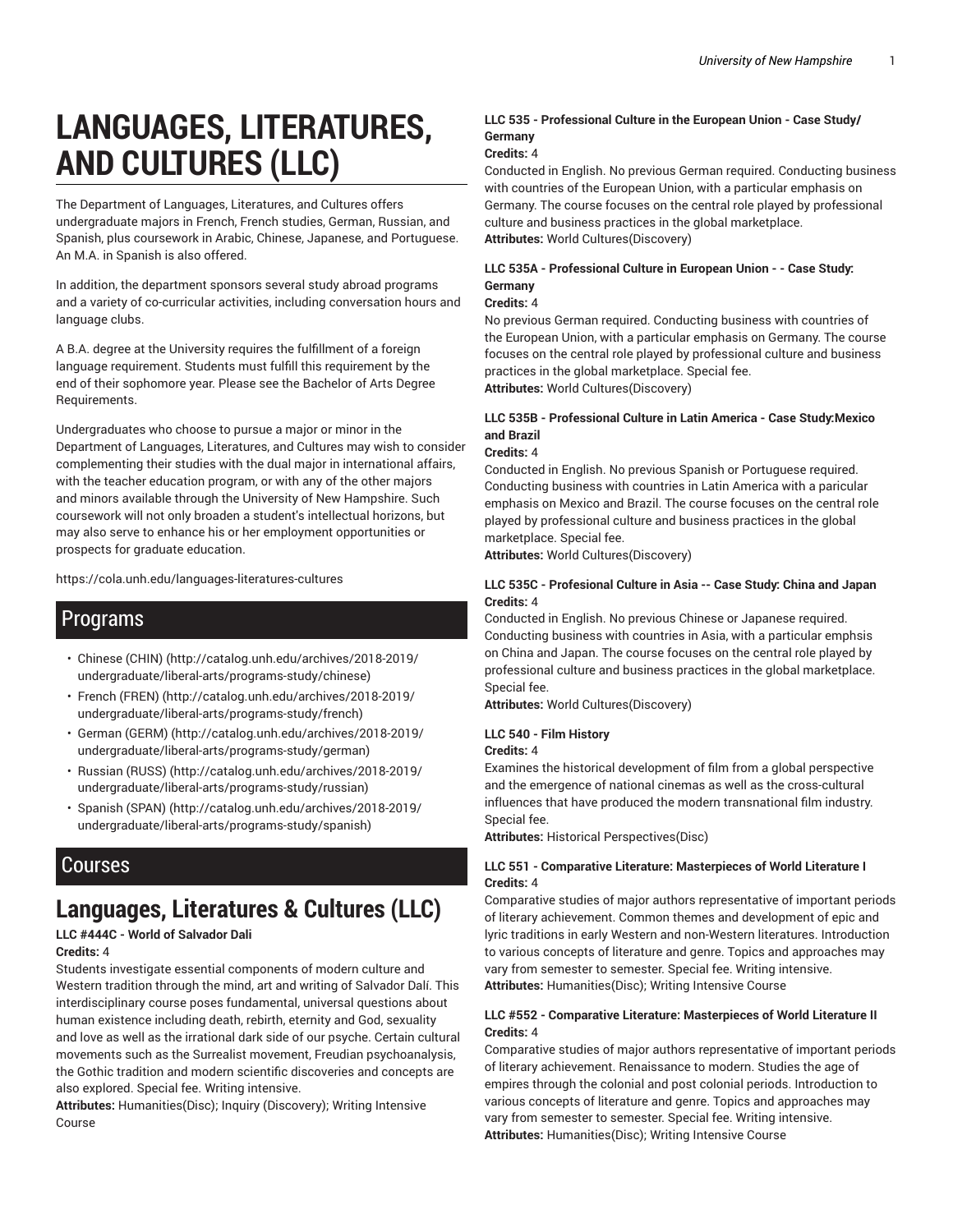# **LANGUAGES, LITERATURES, AND CULTURES (LLC)**

The Department of Languages, Literatures, and Cultures offers undergraduate majors in French, French studies, German, Russian, and Spanish, plus coursework in Arabic, Chinese, Japanese, and Portuguese. An M.A. in Spanish is also offered.

In addition, the department sponsors several study abroad programs and a variety of co-curricular activities, including conversation hours and language clubs.

A B.A. degree at the University requires the fulfillment of a foreign language requirement. Students must fulfill this requirement by the end of their sophomore year. Please see the Bachelor of Arts Degree Requirements.

Undergraduates who choose to pursue a major or minor in the Department of Languages, Literatures, and Cultures may wish to consider complementing their studies with the dual major in international affairs, with the teacher education program, or with any of the other majors and minors available through the University of New Hampshire. Such coursework will not only broaden a student's intellectual horizons, but may also serve to enhance his or her employment opportunities or prospects for graduate education.

https://cola.unh.edu/languages-literatures-cultures

## Programs

- Chinese (CHIN) (http://catalog.unh.edu/archives/2018-2019/ undergraduate/liberal-arts/programs-study/chinese)
- French (FREN) (http://catalog.unh.edu/archives/2018-2019/ undergraduate/liberal-arts/programs-study/french)
- German (GERM) (http://catalog.unh.edu/archives/2018-2019/ undergraduate/liberal-arts/programs-study/german)
- Russian (RUSS) (http://catalog.unh.edu/archives/2018-2019/ undergraduate/liberal-arts/programs-study/russian)
- Spanish (SPAN) (http://catalog.unh.edu/archives/2018-2019/ undergraduate/liberal-arts/programs-study/spanish)

## Courses

## **Languages, Literatures & Cultures (LLC)**

#### **LLC #444C - World of Salvador Dali**

#### **Credits:** 4

Students investigate essential components of modern culture and Western tradition through the mind, art and writing of Salvador Dalí. This interdisciplinary course poses fundamental, universal questions about human existence including death, rebirth, eternity and God, sexuality and love as well as the irrational dark side of our psyche. Certain cultural movements such as the Surrealist movement, Freudian psychoanalysis, the Gothic tradition and modern scientific discoveries and concepts are also explored. Special fee. Writing intensive.

**Attributes:** Humanities(Disc); Inquiry (Discovery); Writing Intensive Course

#### **LLC 535 - Professional Culture in the European Union - Case Study/ Germany**

#### **Credits:** 4

Conducted in English. No previous German required. Conducting business with countries of the European Union, with a particular emphasis on Germany. The course focuses on the central role played by professional culture and business practices in the global marketplace. **Attributes:** World Cultures(Discovery)

#### **LLC 535A - Professional Culture in European Union - - Case Study: Germany**

#### **Credits:** 4

No previous German required. Conducting business with countries of the European Union, with a particular emphasis on Germany. The course focuses on the central role played by professional culture and business practices in the global marketplace. Special fee. **Attributes:** World Cultures(Discovery)

#### **LLC 535B - Professional Culture in Latin America - Case Study:Mexico and Brazil**

#### **Credits:** 4

Conducted in English. No previous Spanish or Portuguese required. Conducting business with countries in Latin America with a paricular emphasis on Mexico and Brazil. The course focuses on the central role played by professional culture and business practices in the global marketplace. Special fee.

**Attributes:** World Cultures(Discovery)

#### **LLC 535C - Profesional Culture in Asia -- Case Study: China and Japan Credits:** 4

Conducted in English. No previous Chinese or Japanese required. Conducting business with countries in Asia, with a particular emphsis on China and Japan. The course focuses on the central role played by professional culture and business practices in the global marketplace. Special fee.

**Attributes:** World Cultures(Discovery)

#### **LLC 540 - Film History**

#### **Credits:** 4

Examines the historical development of film from a global perspective and the emergence of national cinemas as well as the cross-cultural influences that have produced the modern transnational film industry. Special fee.

**Attributes:** Historical Perspectives(Disc)

#### **LLC 551 - Comparative Literature: Masterpieces of World Literature I Credits:** 4

Comparative studies of major authors representative of important periods of literary achievement. Common themes and development of epic and lyric traditions in early Western and non-Western literatures. Introduction to various concepts of literature and genre. Topics and approaches may vary from semester to semester. Special fee. Writing intensive. **Attributes:** Humanities(Disc); Writing Intensive Course

#### **LLC #552 - Comparative Literature: Masterpieces of World Literature II Credits:** 4

Comparative studies of major authors representative of important periods of literary achievement. Renaissance to modern. Studies the age of empires through the colonial and post colonial periods. Introduction to various concepts of literature and genre. Topics and approaches may vary from semester to semester. Special fee. Writing intensive. **Attributes:** Humanities(Disc); Writing Intensive Course